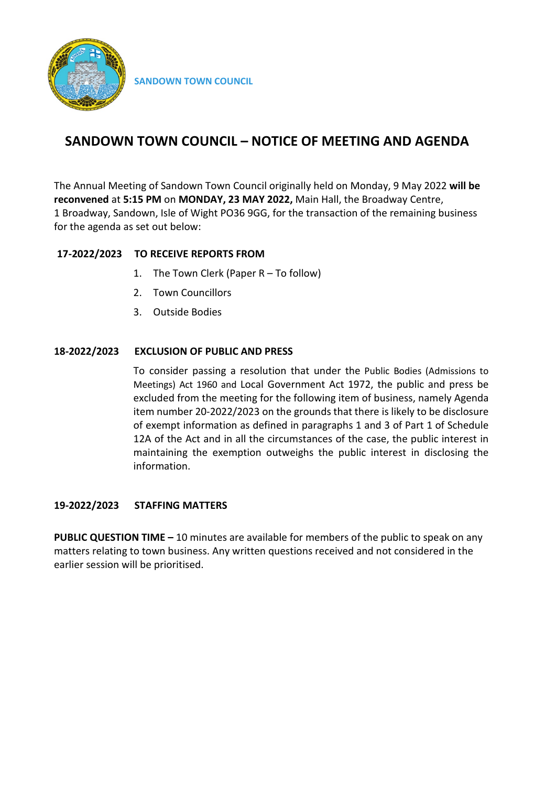

# **SANDOWN TOWN COUNCIL – NOTICE OF MEETING AND AGENDA**

The Annual Meeting of Sandown Town Council originally held on Monday, 9 May 2022 **will be reconvened** at **5:15 PM** on **MONDAY, 23 MAY 2022,** Main Hall, the Broadway Centre, 1 Broadway, Sandown, Isle of Wight PO36 9GG, for the transaction of the remaining business for the agenda as set out below:

# **17-2022/2023 TO RECEIVE REPORTS FROM**

- 1. The Town Clerk (Paper R To follow)
- 2. Town Councillors
- 3. Outside Bodies

# **18-2022/2023 EXCLUSION OF PUBLIC AND PRESS**

To consider passing a resolution that under the Public Bodies (Admissions to Meetings) Act 1960 and Local Government Act 1972, the public and press be excluded from the meeting for the following item of business, namely Agenda item number 20-2022/2023 on the grounds that there is likely to be disclosure of exempt information as defined in paragraphs 1 and 3 of Part 1 of Schedule 12A of the Act and in all the circumstances of the case, the public interest in maintaining the exemption outweighs the public interest in disclosing the information.

## **19-2022/2023 STAFFING MATTERS**

**PUBLIC QUESTION TIME –** 10 minutes are available for members of the public to speak on any matters relating to town business. Any written questions received and not considered in the earlier session will be prioritised.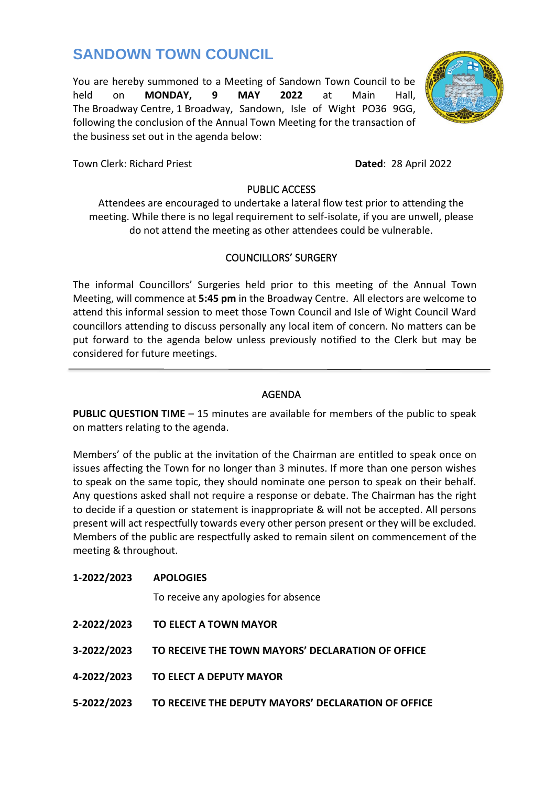# **SANDOWN TOWN COUNCIL**

You are hereby summoned to a Meeting of Sandown Town Council to be held on **MONDAY, 9 MAY 2022** at Main Hall, The Broadway Centre, 1 Broadway, Sandown, Isle of Wight PO36 9GG, following the conclusion of the Annual Town Meeting for the transaction of the business set out in the agenda below:

Town Clerk: Richard Priest**Dated**: 28 April 2022

# PUBLIC ACCESS

Attendees are encouraged to undertake a lateral flow test prior to attending the meeting. While there is no legal requirement to self-isolate, if you are unwell, please do not attend the meeting as other attendees could be vulnerable.

# COUNCILLORS' SURGERY

The informal Councillors' Surgeries held prior to this meeting of the Annual Town Meeting, will commence at **5:45 pm** in the Broadway Centre. All electors are welcome to attend this informal session to meet those Town Council and Isle of Wight Council Ward councillors attending to discuss personally any local item of concern. No matters can be put forward to the agenda below unless previously notified to the Clerk but may be considered for future meetings.

# AGENDA

 $\overline{a}$ 

**PUBLIC QUESTION TIME** – 15 minutes are available for members of the public to speak on matters relating to the agenda.

Members' of the public at the invitation of the Chairman are entitled to speak once on issues affecting the Town for no longer than 3 minutes. If more than one person wishes to speak on the same topic, they should nominate one person to speak on their behalf. Any questions asked shall not require a response or debate. The Chairman has the right to decide if a question or statement is inappropriate & will not be accepted. All persons present will act respectfully towards every other person present or they will be excluded. Members of the public are respectfully asked to remain silent on commencement of the meeting & throughout.

| 1-2022/2023 | <b>APOLOGIES</b><br>To receive any apologies for absence |
|-------------|----------------------------------------------------------|
| 2-2022/2023 | <b>TO ELECT A TOWN MAYOR</b>                             |
| 3-2022/2023 | TO RECEIVE THE TOWN MAYORS' DECLARATION OF OFFICE        |
| 4-2022/2023 | TO ELECT A DEPUTY MAYOR                                  |
| 5-2022/2023 | TO RECEIVE THE DEPUTY MAYORS' DECLARATION OF OFFICE      |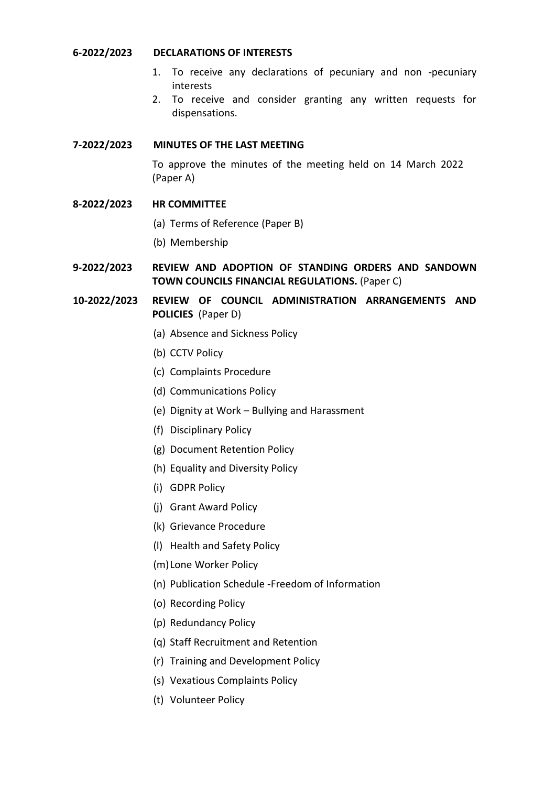#### **6-2022/2023 DECLARATIONS OF INTERESTS**

- 1. To receive any declarations of pecuniary and non -pecuniary interests
- 2. To receive and consider granting any written requests for dispensations.

# **7-2022/2023 MINUTES OF THE LAST MEETING**

To approve the minutes of the meeting held on 14 March 2022 (Paper A)

- **8-2022/2023 HR COMMITTEE**
	- (a) Terms of Reference (Paper B)
	- (b) Membership
- **9-2022/2023 REVIEW AND ADOPTION OF STANDING ORDERS AND SANDOWN TOWN COUNCILS FINANCIAL REGULATIONS.** (Paper C)
- **10-2022/2023 REVIEW OF COUNCIL ADMINISTRATION ARRANGEMENTS AND POLICIES** (Paper D)
	- (a) Absence and Sickness Policy
	- (b) CCTV Policy
	- (c) Complaints Procedure
	- (d) Communications Policy
	- (e) Dignity at Work Bullying and Harassment
	- (f) Disciplinary Policy
	- (g) Document Retention Policy
	- (h) Equality and Diversity Policy
	- (i) GDPR Policy
	- (j) Grant Award Policy
	- (k) Grievance Procedure
	- (l) Health and Safety Policy
	- (m)Lone Worker Policy
	- (n) Publication Schedule -Freedom of Information
	- (o) Recording Policy
	- (p) Redundancy Policy
	- (q) Staff Recruitment and Retention
	- (r) Training and Development Policy
	- (s) Vexatious Complaints Policy
	- (t) Volunteer Policy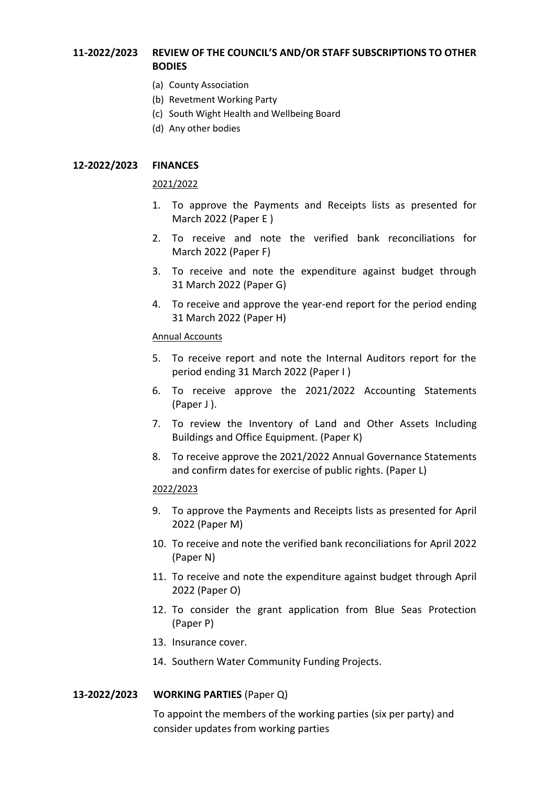# **11-2022/2023 REVIEW OF THE COUNCIL'S AND/OR STAFF SUBSCRIPTIONS TO OTHER BODIES**

- (a) County Association
- (b) Revetment Working Party
- (c) South Wight Health and Wellbeing Board
- (d) Any other bodies

#### **12-2022/2023 FINANCES**

#### 2021/2022

- 1. To approve the Payments and Receipts lists as presented for March 2022 (Paper E )
- 2. To receive and note the verified bank reconciliations for March 2022 (Paper F)
- 3. To receive and note the expenditure against budget through 31 March 2022 (Paper G)
- 4. To receive and approve the year-end report for the period ending 31 March 2022 (Paper H)

#### Annual Accounts

- 5. To receive report and note the Internal Auditors report for the period ending 31 March 2022 (Paper I )
- 6. To receive approve the 2021/2022 Accounting Statements (Paper J ).
- 7. To review the Inventory of Land and Other Assets Including Buildings and Office Equipment. (Paper K)
- 8. To receive approve the 2021/2022 Annual Governance Statements and confirm dates for exercise of public rights. (Paper L)

#### 2022/2023

- 9. To approve the Payments and Receipts lists as presented for April 2022 (Paper M)
- 10. To receive and note the verified bank reconciliations for April 2022 (Paper N)
- 11. To receive and note the expenditure against budget through April 2022 (Paper O)
- 12. To consider the grant application from Blue Seas Protection (Paper P)
- 13. Insurance cover.
- 14. Southern Water Community Funding Projects.

#### **13-2022/2023 WORKING PARTIES** (Paper Q)

To appoint the members of the working parties (six per party) and consider updates from working parties